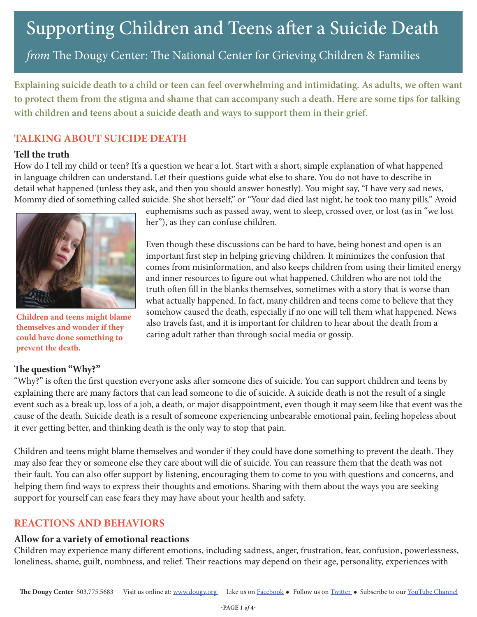*from* The Dougy Center: The National Center for Grieving Children & Families

**Explaining suicide death to a child or teen can feel overwhelming and intimidating. As adults, we often want to protect them from the stigma and shame that can accompany such a death. Here are some tips for talking with children and teens about a suicide death and ways to support them in their grief.** 

## **TALKING ABOUT SUICIDE DEATH**

## **Tell the truth**

How do I tell my child or teen? It's a question we hear a lot. Start with a short, simple explanation of what happened in language children can understand. Let their questions guide what else to share. You do not have to describe in detail what happened (unless they ask, and then you should answer honestly). You might say, "I have very sad news, Mommy died of something called suicide. She shot herself," or "Your dad died last night, he took too many pills." Avoid



**Children and teens might blame themselves and wonder if they could have done something to prevent the death.** 

## **The question "Why?"**

euphemisms such as passed away, went to sleep, crossed over, or lost (as in "we lost her"), as they can confuse children.

Even though these discussions can be hard to have, being honest and open is an important first step in helping grieving children. It minimizes the confusion that comes from misinformation, and also keeps children from using their limited energy and inner resources to figure out what happened. Children who are not told the truth often fill in the blanks themselves, sometimes with a story that is worse than what actually happened. In fact, many children and teens come to believe that they somehow caused the death, especially if no one will tell them what happened. News also travels fast, and it is important for children to hear about the death from a caring adult rather than through social media or gossip.

"Why?" is often the first question everyone asks after someone dies of suicide. You can support children and teens by explaining there are many factors that can lead someone to die of suicide. A suicide death is not the result of a single event such as a break up, loss of a job, a death, or major disappointment, even though it may seem like that event was the cause of the death. Suicide death is a result of someone experiencing unbearable emotional pain, feeling hopeless about it ever getting better, and thinking death is the only way to stop that pain.

Children and teens might blame themselves and wonder if they could have done something to prevent the death. They may also fear they or someone else they care about will die of suicide. You can reassure them that the death was not their fault. You can also offer support by listening, encouraging them to come to you with questions and concerns, and helping them find ways to express their thoughts and emotions. Sharing with them about the ways you are seeking support for yourself can ease fears they may have about your health and safety.

# **REACTIONS AND BEHAVIORS**

# **Allow for a variety of emotional reactions**

Children may experience many different emotions, including sadness, anger, frustration, fear, confusion, powerlessness, loneliness, shame, guilt, numbness, and relief. Their reactions may depend on their age, personality, experiences with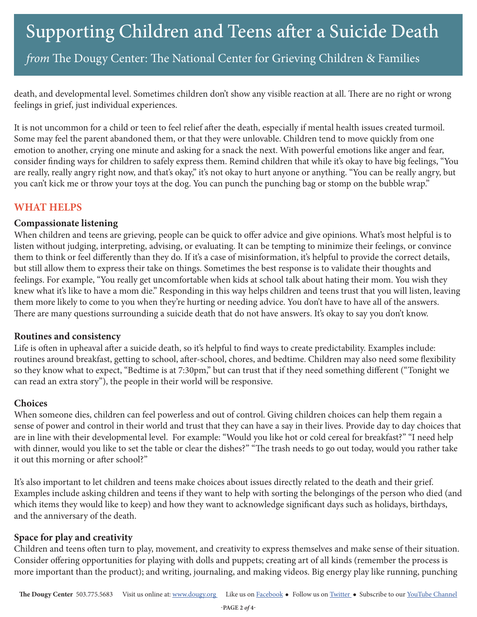*from* The Dougy Center: The National Center for Grieving Children & Families

death, and developmental level. Sometimes children don't show any visible reaction at all. There are no right or wrong feelings in grief, just individual experiences.

It is not uncommon for a child or teen to feel relief after the death, especially if mental health issues created turmoil. Some may feel the parent abandoned them, or that they were unlovable. Children tend to move quickly from one emotion to another, crying one minute and asking for a snack the next. With powerful emotions like anger and fear, consider finding ways for children to safely express them. Remind children that while it's okay to have big feelings, "You are really, really angry right now, and that's okay," it's not okay to hurt anyone or anything. "You can be really angry, but you can't kick me or throw your toys at the dog. You can punch the punching bag or stomp on the bubble wrap."

## **WHAT HELPS**

### **Compassionate listening**

When children and teens are grieving, people can be quick to offer advice and give opinions. What's most helpful is to listen without judging, interpreting, advising, or evaluating. It can be tempting to minimize their feelings, or convince them to think or feel differently than they do. If it's a case of misinformation, it's helpful to provide the correct details, but still allow them to express their take on things. Sometimes the best response is to validate their thoughts and feelings. For example, "You really get uncomfortable when kids at school talk about hating their mom. You wish they knew what it's like to have a mom die." Responding in this way helps children and teens trust that you will listen, leaving them more likely to come to you when they're hurting or needing advice. You don't have to have all of the answers. There are many questions surrounding a suicide death that do not have answers. It's okay to say you don't know.

### **Routines and consistency**

Life is often in upheaval after a suicide death, so it's helpful to find ways to create predictability. Examples include: routines around breakfast, getting to school, after-school, chores, and bedtime. Children may also need some flexibility so they know what to expect, "Bedtime is at 7:30pm," but can trust that if they need something different ("Tonight we can read an extra story"), the people in their world will be responsive.

### **Choices**

When someone dies, children can feel powerless and out of control. Giving children choices can help them regain a sense of power and control in their world and trust that they can have a say in their lives. Provide day to day choices that are in line with their developmental level. For example: "Would you like hot or cold cereal for breakfast?" "I need help with dinner, would you like to set the table or clear the dishes?" "The trash needs to go out today, would you rather take it out this morning or after school?"

It's also important to let children and teens make choices about issues directly related to the death and their grief. Examples include asking children and teens if they want to help with sorting the belongings of the person who died (and which items they would like to keep) and how they want to acknowledge significant days such as holidays, birthdays, and the anniversary of the death.

## **Space for play and creativity**

Children and teens often turn to play, movement, and creativity to express themselves and make sense of their situation. Consider offering opportunities for playing with dolls and puppets; creating art of all kinds (remember the process is more important than the product); and writing, journaling, and making videos. Big energy play like running, punching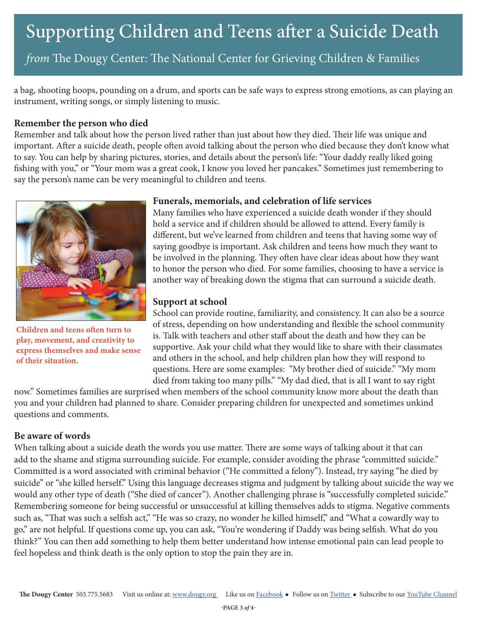# Supporting Children and Teens after a Suicide Death

*from* The Dougy Center: The National Center for Grieving Children & Families

a bag, shooting hoops, pounding on a drum, and sports can be safe ways to express strong emotions, as can playing an instrument, writing songs, or simply listening to music.

### **Remember the person who died**

Remember and talk about how the person lived rather than just about how they died. Their life was unique and important. After a suicide death, people often avoid talking about the person who died because they don't know what to say. You can help by sharing pictures, stories, and details about the person's life: "Your daddy really liked going fishing with you," or "Your mom was a great cook, I know you loved her pancakes." Sometimes just remembering to say the person's name can be very meaningful to children and teens.



**Children and teens often turn to play, movement, and creativity to express themselves and make sense of their situation.** 

### **Funerals, memorials, and celebration of life services**

Many families who have experienced a suicide death wonder if they should hold a service and if children should be allowed to attend. Every family is different, but we've learned from children and teens that having some way of saying goodbye is important. Ask children and teens how much they want to be involved in the planning. They often have clear ideas about how they want to honor the person who died. For some families, choosing to have a service is another way of breaking down the stigma that can surround a suicide death.

### **Support at school**

School can provide routine, familiarity, and consistency. It can also be a source of stress, depending on how understanding and flexible the school community is. Talk with teachers and other staff about the death and how they can be supportive. Ask your child what they would like to share with their classmates and others in the school, and help children plan how they will respond to questions. Here are some examples: "My brother died of suicide." "My mom died from taking too many pills." "My dad died, that is all I want to say right

now." Sometimes families are surprised when members of the school community know more about the death than you and your children had planned to share. Consider preparing children for unexpected and sometimes unkind questions and comments.

### **Be aware of words**

When talking about a suicide death the words you use matter. There are some ways of talking about it that can add to the shame and stigma surrounding suicide. For example, consider avoiding the phrase "committed suicide." Committed is a word associated with criminal behavior ("He committed a felony"). Instead, try saying "he died by suicide" or "she killed herself." Using this language decreases stigma and judgment by talking about suicide the way we would any other type of death ("She died of cancer"). Another challenging phrase is "successfully completed suicide." Remembering someone for being successful or unsuccessful at killing themselves adds to stigma. Negative comments such as, "That was such a selfish act," "He was so crazy, no wonder he killed himself," and "What a cowardly way to go," are not helpful. If questions come up, you can ask, "You're wondering if Daddy was being selfish. What do you think?" You can then add something to help them better understand how intense emotional pain can lead people to feel hopeless and think death is the only option to stop the pain they are in.